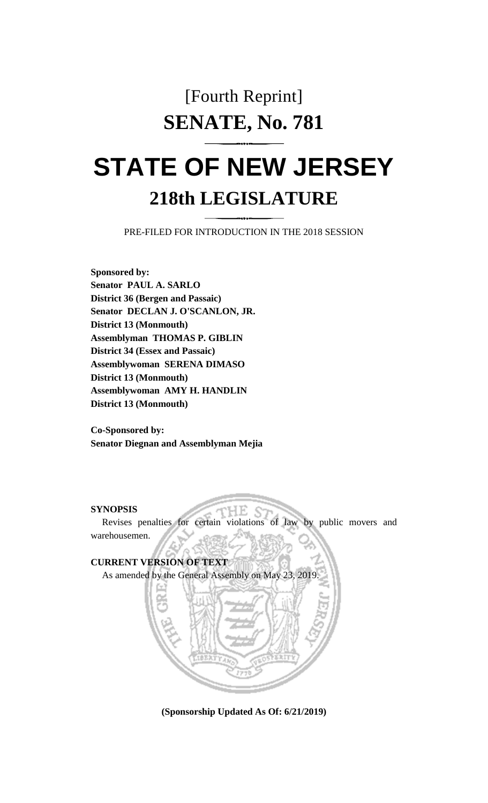## [Fourth Reprint] **SENATE, No. 781**

# **STATE OF NEW JERSEY 218th LEGISLATURE**

PRE-FILED FOR INTRODUCTION IN THE 2018 SESSION

**Sponsored by: Senator PAUL A. SARLO District 36 (Bergen and Passaic) Senator DECLAN J. O'SCANLON, JR. District 13 (Monmouth) Assemblyman THOMAS P. GIBLIN District 34 (Essex and Passaic) Assemblywoman SERENA DIMASO District 13 (Monmouth) Assemblywoman AMY H. HANDLIN District 13 (Monmouth)**

**Co-Sponsored by: Senator Diegnan and Assemblyman Mejia**

#### **SYNOPSIS**

Revises penalties for certain violations of law by public movers and warehousemen.



**(Sponsorship Updated As Of: 6/21/2019)**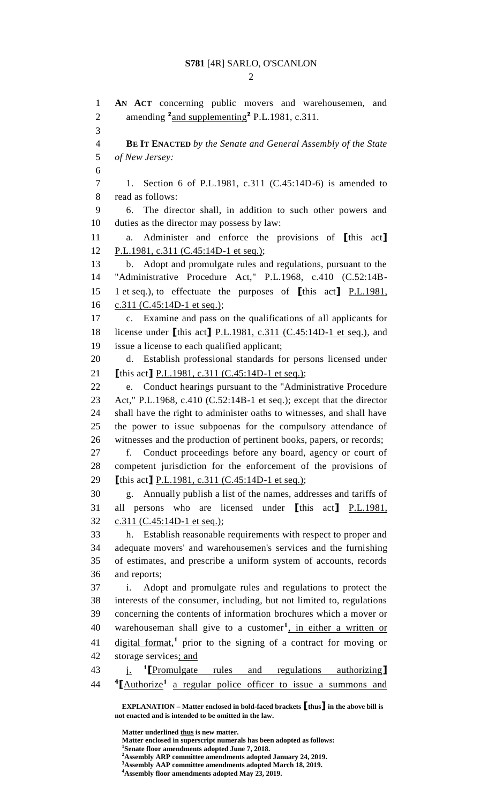$\mathfrak{D}$ 

**EXPLANATION – Matter enclosed in bold-faced brackets [thus] in the above bill is AN ACT** concerning public movers and warehousemen, and 2 amending <sup>2</sup> and supplementing<sup>2</sup> P.L.1981, c.311. **BE IT ENACTED** *by the Senate and General Assembly of the State of New Jersey:* 1. Section 6 of P.L.1981, c.311 (C.45:14D-6) is amended to read as follows: 6. The director shall, in addition to such other powers and duties as the director may possess by law: a. Administer and enforce the provisions of **[**this act**]** P.L.1981, c.311 (C.45:14D-1 et seq.); b. Adopt and promulgate rules and regulations, pursuant to the "Administrative Procedure Act," P.L.1968, c.410 (C.52:14B- 1 et seq.), to effectuate the purposes of **[**this act**]** P.L.1981, c.311 (C.45:14D-1 et seq.); c. Examine and pass on the qualifications of all applicants for license under **[**this act**]** P.L.1981, c.311 (C.45:14D-1 et seq.), and issue a license to each qualified applicant; d. Establish professional standards for persons licensed under **[**this act**]** P.L.1981, c.311 (C.45:14D-1 et seq.); e. Conduct hearings pursuant to the "Administrative Procedure Act," P.L.1968, c.410 (C.52:14B-1 et seq.); except that the director shall have the right to administer oaths to witnesses, and shall have the power to issue subpoenas for the compulsory attendance of witnesses and the production of pertinent books, papers, or records; f. Conduct proceedings before any board, agency or court of competent jurisdiction for the enforcement of the provisions of **[**this act**]** P.L.1981, c.311 (C.45:14D-1 et seq.); g. Annually publish a list of the names, addresses and tariffs of all persons who are licensed under **[**this act**]** P.L.1981, c.311 (C.45:14D-1 et seq.); h. Establish reasonable requirements with respect to proper and adequate movers' and warehousemen's services and the furnishing of estimates, and prescribe a uniform system of accounts, records and reports; i. Adopt and promulgate rules and regulations to protect the interests of the consumer, including, but not limited to, regulations concerning the contents of information brochures which a mover or 40 warehouseman shall give to a customer<sup>1</sup>, in either a written or 41 digital format,<sup>1</sup> prior to the signing of a contract for moving or storage services; and j. **<sup>1</sup> [**Promulgate rules and regulations authorizing**]** 44 <sup>4</sup>[Authorize<sup>1</sup> a regular police officer to issue a summons and

**Matter underlined thus is new matter. Matter enclosed in superscript numerals has been adopted as follows: 1 Senate floor amendments adopted June 7, 2018.**

**Assembly AAP committee amendments adopted March 18, 2019.**

**Assembly floor amendments adopted May 23, 2019.**

**not enacted and is intended to be omitted in the law.**

**Assembly ARP committee amendments adopted January 24, 2019.**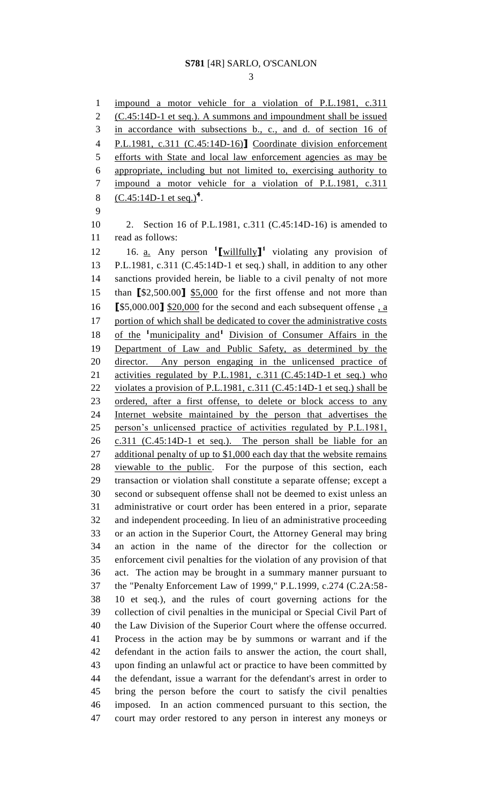impound a motor vehicle for a violation of P.L.1981, c.311 (C.45:14D-1 et seq.). A summons and impoundment shall be issued in accordance with subsections b., c., and d. of section 16 of P.L.1981, c.311 (C.45:14D-16)**]** Coordinate division enforcement efforts with State and local law enforcement agencies as may be appropriate, including but not limited to, exercising authority to impound a motor vehicle for a violation of P.L.1981, c.311 8 (C.45:14D-1 et seq.)<sup>4</sup>. 2. Section 16 of P.L.1981, c.311 (C.45:14D-16) is amended to read as follows: 16. a. Any person **<sup>1</sup> [**willfully**] 1** violating any provision of P.L.1981, c.311 (C.45:14D-1 et seq.) shall, in addition to any other sanctions provided herein, be liable to a civil penalty of not more than **[**\$2,500.00**]** \$5,000 for the first offense and not more than **[**\$5,000.00**]** \$20,000 for the second and each subsequent offense , a 17 portion of which shall be dedicated to cover the administrative costs 18 of the <sup>1</sup>municipality and<sup>1</sup> Division of Consumer Affairs in the Department of Law and Public Safety, as determined by the 20 director. Any person engaging in the unlicensed practice of 21 activities regulated by P.L.1981, c.311 (C.45:14D-1 et seq.) who 22 violates a provision of P.L.1981, c.311 (C.45:14D-1 et seq.) shall be 23 ordered, after a first offense, to delete or block access to any Internet website maintained by the person that advertises the person's unlicensed practice of activities regulated by P.L.1981, c.311 (C.45:14D-1 et seq.). The person shall be liable for an 27 additional penalty of up to \$1,000 each day that the website remains viewable to the public. For the purpose of this section, each transaction or violation shall constitute a separate offense; except a second or subsequent offense shall not be deemed to exist unless an administrative or court order has been entered in a prior, separate and independent proceeding. In lieu of an administrative proceeding or an action in the Superior Court, the Attorney General may bring an action in the name of the director for the collection or enforcement civil penalties for the violation of any provision of that act. The action may be brought in a summary manner pursuant to the "Penalty Enforcement Law of 1999," P.L.1999, c.274 (C.2A:58- 10 et seq.), and the rules of court governing actions for the collection of civil penalties in the municipal or Special Civil Part of the Law Division of the Superior Court where the offense occurred. Process in the action may be by summons or warrant and if the defendant in the action fails to answer the action, the court shall, upon finding an unlawful act or practice to have been committed by the defendant, issue a warrant for the defendant's arrest in order to bring the person before the court to satisfy the civil penalties imposed. In an action commenced pursuant to this section, the court may order restored to any person in interest any moneys or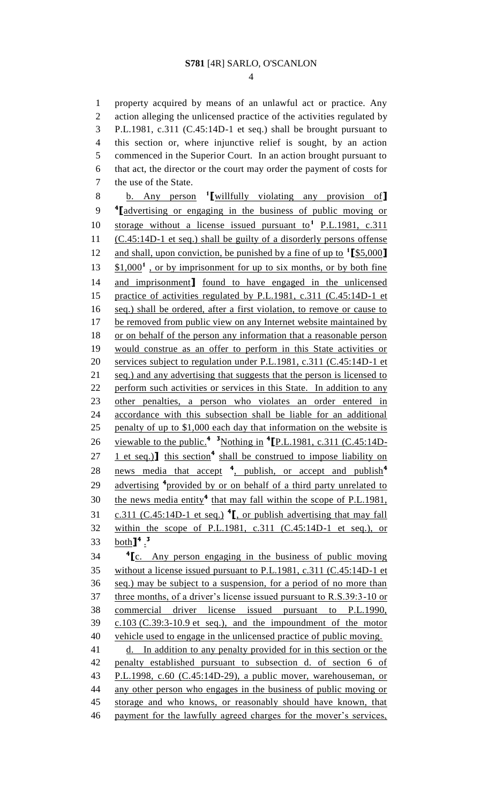property acquired by means of an unlawful act or practice. Any action alleging the unlicensed practice of the activities regulated by P.L.1981, c.311 (C.45:14D-1 et seq.) shall be brought pursuant to this section or, where injunctive relief is sought, by an action commenced in the Superior Court. In an action brought pursuant to that act, the director or the court may order the payment of costs for the use of the State.

b. Any person **<sup>1</sup> [**willfully violating any provision of**] 4 [**advertising or engaging in the business of public moving or 10 storage without a license issued pursuant to<sup>1</sup> P.L.1981, c.311 (C.45:14D-1 et seq.) shall be guilty of a disorderly persons offense and shall, upon conviction, be punished by a fine of up to **<sup>1</sup> [**\$5,000**]**  $13 \quad $1,000^1$ , or by imprisonment for up to six months, or by both fine and imprisonment**]** found to have engaged in the unlicensed practice of activities regulated by P.L.1981, c.311 (C.45:14D-1 et seq.) shall be ordered, after a first violation, to remove or cause to 17 be removed from public view on any Internet website maintained by or on behalf of the person any information that a reasonable person would construe as an offer to perform in this State activities or services subject to regulation under P.L.1981, c.311 (C.45:14D-1 et 21 seq.) and any advertising that suggests that the person is licensed to 22 perform such activities or services in this State. In addition to any other penalties, a person who violates an order entered in accordance with this subsection shall be liable for an additional penalty of up to \$1,000 each day that information on the website is 26 viewable to the public.<sup>4</sup> <sup>3</sup>Nothing in <sup>4</sup>[P.L.1981, c.311 (C.45:14D-27 **1** et seq.)**]** this section<sup>4</sup> shall be construed to impose liability on news media that accept **<sup>4</sup>** , publish, or accept and publish**<sup>4</sup>** 29 advertising <sup>4</sup> provided by or on behalf of a third party unrelated to 30 the news media entity<sup>4</sup> that may fall within the scope of P.L.1981, c.311 (C.45:14D-1 et seq.) **<sup>4</sup> [**, or publish advertising that may fall within the scope of P.L.1981, c.311 (C.45:14D-1 et seq.), or both**] 4** . **3 4 [**c. Any person engaging in the business of public moving

 without a license issued pursuant to P.L.1981, c.311 (C.45:14D-1 et seq.) may be subject to a suspension, for a period of no more than three months, of a driver's license issued pursuant to R.S.39:3-10 or commercial driver license issued pursuant to P.L.1990, c.103 (C.39:3-10.9 et seq.), and the impoundment of the motor vehicle used to engage in the unlicensed practice of public moving. 41 d. In addition to any penalty provided for in this section or the penalty established pursuant to subsection d. of section 6 of P.L.1998, c.60 (C.45:14D-29), a public mover, warehouseman, or any other person who engages in the business of public moving or storage and who knows, or reasonably should have known, that

46 payment for the lawfully agreed charges for the mover's services,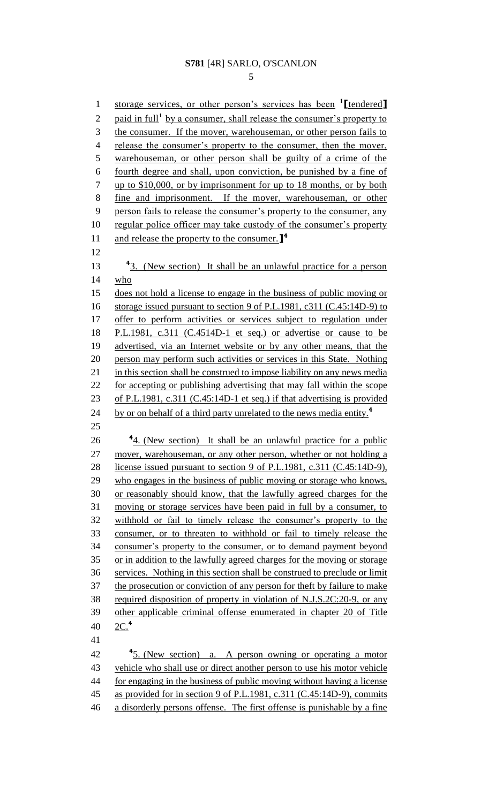### **S781** [4R] SARLO, O'SCANLON

storage services, or other person's services has been **<sup>1</sup> [**tendered**]** 2 paid in full<sup>1</sup> by a consumer, shall release the consumer's property to the consumer. If the mover, warehouseman, or other person fails to 4 release the consumer's property to the consumer, then the mover, 5 warehouseman, or other person shall be guilty of a crime of the fourth degree and shall, upon conviction, be punished by a fine of 7 up to \$10,000, or by imprisonment for up to 18 months, or by both fine and imprisonment. If the mover, warehouseman, or other person fails to release the consumer's property to the consumer, any 10 regular police officer may take custody of the consumer's property and release the property to the consumer.**] 4** 13 <sup>4</sup>3. (New section) It shall be an unlawful practice for a person who does not hold a license to engage in the business of public moving or storage issued pursuant to section 9 of P.L.1981, c311 (C.45:14D-9) to 17 offer to perform activities or services subject to regulation under P.L.1981, c.311 (C.4514D-1 et seq.) or advertise or cause to be advertised, via an Internet website or by any other means, that the person may perform such activities or services in this State. Nothing 21 in this section shall be construed to impose liability on any news media for accepting or publishing advertising that may fall within the scope of P.L.1981, c.311 (C.45:14D-1 et seq.) if that advertising is provided by or on behalf of a third party unrelated to the news media entity.**<sup>4</sup>** 26 <sup>4</sup><sub>4</sub>. (New section) It shall be an unlawful practice for a public 27 mover, warehouseman, or any other person, whether or not holding a license issued pursuant to section 9 of P.L.1981, c.311 (C.45:14D-9), who engages in the business of public moving or storage who knows, or reasonably should know, that the lawfully agreed charges for the moving or storage services have been paid in full by a consumer, to withhold or fail to timely release the consumer's property to the consumer, or to threaten to withhold or fail to timely release the consumer's property to the consumer, or to demand payment beyond or in addition to the lawfully agreed charges for the moving or storage services. Nothing in this section shall be construed to preclude or limit the prosecution or conviction of any person for theft by failure to make required disposition of property in violation of N.J.S.2C:20-9, or any other applicable criminal offense enumerated in chapter 20 of Title 2C.**<sup>4</sup>** 42 <sup>4</sup>5. (New section) a. A person owning or operating a motor vehicle who shall use or direct another person to use his motor vehicle for engaging in the business of public moving without having a license as provided for in section 9 of P.L.1981, c.311 (C.45:14D-9), commits a disorderly persons offense. The first offense is punishable by a fine